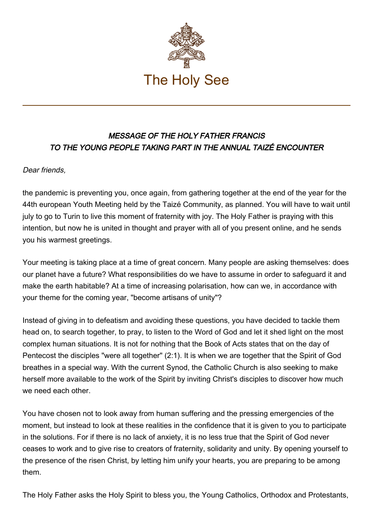

## MESSAGE OF THE HOLY FATHER FRANCIS TO THE YOUNG PEOPLE TAKING PART IN THE ANNUAL TAIZÉ ENCOUNTER

## Dear friends,

the pandemic is preventing you, once again, from gathering together at the end of the year for the 44th european Youth Meeting held by the Taizé Community, as planned. You will have to wait until july to go to Turin to live this moment of fraternity with joy. The Holy Father is praying with this intention, but now he is united in thought and prayer with all of you present online, and he sends you his warmest greetings.

Your meeting is taking place at a time of great concern. Many people are asking themselves: does our planet have a future? What responsibilities do we have to assume in order to safeguard it and make the earth habitable? At a time of increasing polarisation, how can we, in accordance with your theme for the coming year, "become artisans of unity"?

Instead of giving in to defeatism and avoiding these questions, you have decided to tackle them head on, to search together, to pray, to listen to the Word of God and let it shed light on the most complex human situations. It is not for nothing that the Book of Acts states that on the day of Pentecost the disciples "were all together" (2:1). It is when we are together that the Spirit of God breathes in a special way. With the current Synod, the Catholic Church is also seeking to make herself more available to the work of the Spirit by inviting Christ's disciples to discover how much we need each other.

You have chosen not to look away from human suffering and the pressing emergencies of the moment, but instead to look at these realities in the confidence that it is given to you to participate in the solutions. For if there is no lack of anxiety, it is no less true that the Spirit of God never ceases to work and to give rise to creators of fraternity, solidarity and unity. By opening yourself to the presence of the risen Christ, by letting him unify your hearts, you are preparing to be among them.

The Holy Father asks the Holy Spirit to bless you, the Young Catholics, Orthodox and Protestants,